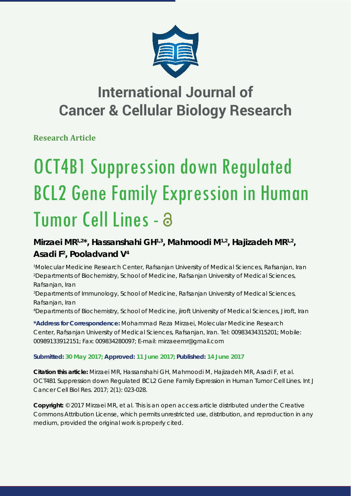

## **International Journal of Cancer & Cellular Biology Research**

**Research Article**

# OCT4B1 Suppression down Regulated BCL2 Gene Family Expression in Human Tumor Cell Lines - a

## **Mirzaei MR1,2\*, Hassanshahi GH1,3, Mahmoodi M1,2, Hajizadeh MR1,2, Asadi F2 , Pooladvand V4**

 *Molecular Medicine Research Center, Rafsanjan University of Medical Sciences, Rafsanjan, Iran Departments of Biochemistry, School of Medicine, Rafsanjan University of Medical Sciences, Rafsanjan, Iran Departments of Immunology, School of Medicine, Rafsanjan University of Medical Sciences, Rafsanjan, Iran Departments of Biochemistry, School of Medicine, jiroft University of Medical Sciences, Jiroft, Iran*

**\*Address for Correspondence:** Mohammad Reza Mirzaei, Molecular Medicine Research Center, Rafsanjan University of Medical Sciences, Rafsanjan, Iran. Tel: 00983434315201; Mobile: 00989133912151; Fax: 009834280097; E-mail: mirzaeemr@gmail.com

## **Submitted: 30 May 2017; Approved: 11 June 2017; Published: 14 June 2017**

**Citation this article:** Mirzaei MR, Hassanshahi GH, Mahmoodi M, Hajizadeh MR, Asadi F, et al. OCT4B1 Suppression down Regulated BCL2 Gene Family Expression in Human Tumor Cell Lines. Int J Cancer Cell Biol Res. 2017; 2(1): 023-028.

**Copyright:** © 2017 Mirzaei MR, et al. This is an open access article distributed under the Creative Commons Attribution License, which permits unrestricted use, distribution, and reproduction in any medium, provided the original work is properly cited.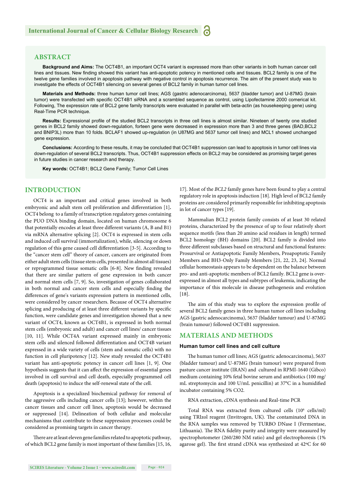## **ABSTRACT**

**Background and Aims:** The OCT4B1, an important OCT4 variant is expressed more than other variants in both human cancer cell lines and tissues. New finding showed this variant has anti-apoptotic potency in mentioned cells and tissues. BCL2 family is one of the twelve gene families involved in apoptosis pathway with negative control in apoptosis recurrence. The aim of the present study was to investigate the effects of OCT4B1 silencing on several genes of BCL2 family in human tumor cell lines.

**Materials and Methods:** three human tumor cell lines; AGS (gastric adenocarcinoma), 5637 (bladder tumor) and U-87MG (brain tumor) were transfected with specific OCT4B1 siRNA and a scrambled sequence as control, using Lipofectamine 2000 comerical kit. Following, The expression rate of BCL2 gene family transcripts were evaluated in parallel with beta-actin (as housekeeping gene) using Real-Time PCR technique.

Results: Expressional profile of the studied BCL2 transcripts in three cell lines is almost similar. Nineteen of twenty one studied genes in BCL2 family showed down-regulation, forteen gene were decreased in expression more than 3 and three genes (BAD,BCL2 and BNIP3L) more than 10 folds. BCLAF1 showed up-regulation (in U87MG and 5637 tumor cell lines) and MCL1 showed unchanged gene expression.

**Conclusions:** According to these results, it may be concluded that OCT4B1 suppression can lead to apoptosis in tumor cell lines via down-regulation of several BCL2 transcripts. Thus, OCT4B1 suppression effects on BCL2 may be considered as promising target genes in future studies in cancer research and therapy.

**Key words:** OCT4B1; BCL2 Gene Family; Tumor Cell Lines

## **INTRODUCTION**

OCT4 is an important and critical genes involved in both embryonic and adult stem cell proliferation and differentiation [1]. OCT4 belong to a family of transcription regulatory genes containing the PUO DNA binding domain, located on human chromosome 6 that potentially encodes at least three different variants (A, B and B1) via mRNA alternative splicing [2]. OCT4 is expressed in stem cells and induced cell survival (immortalization), while, silencing or down regulation of this gene caused cell differentiation [3-5]. According to the "cancer stem cell" theory of cancer, cancers are originated from either adult stem cells (tissue stem cells, presented in almost all tissues) or reprogrammed tissue somatic cells [6-8]. New finding revealed that there are similar pattern of gene expression in both cancer and normal stem cells [7, 9]. So, investigation of genes collaborated in both normal and cancer stem cells and especially finding the differences of gene's variants expression pattern in mentioned cells, were considered by cancer researchers. Because of OCT4 alternative splicing and producing of at least three different variants by specific function, were candidate genes and investigation showed that a new variant of OCT4, known as OCT4B1, is expressed in both normal stem cells (embryonic and adult) and cancer cell lines/ cancer tissues [10, 11]. While OCT4A variant expressed mainly in embryonic stem cells and silenced followed differentiation and OCT4B variant expressed in a wide variety of cells (stem and somatic cells) with no function in cell pluripotency [12]. New study revealed the OCT4B1 variant has anti-apoptotic potency in cancer cell lines [1, 9]. One hypothesis suggests that it can affect the expression of essential genes involved in cell survival and cell death, especially programmed cell death (apoptosis) to induce the self-renewal state of the cell.

Apoptosis is a specialized biochemical pathway for removal of the aggressive cells including cancer cells [13]; however, within the cancer tissues and cancer cell lines, apoptosis would be decreased or suppressed [14]. Delineation of both cellular and molecular mechanisms that contribute to these suppression processes could be considered as promising targets in cancer therapy.

There are at least eleven gene families related to apoptotic pathway, of which BCL2 gene family is most important of these families [15, 16,

17]. Most of the *BCL2* family genes have been found to play a central regulatory role in apoptosis induction [18]. High level of BCL2 family proteins are considered primarily responsible for inhibiting apoptosis in lot of cancer types [19].

Mammalian BCL2 protein family consists of at least 30 related proteins, characterized by the presence of up to four relatively short sequence motifs (less than 20 amino acid residues in length) termed BCL2 homology (BH) domains [20]. BCL2 family is divided into three different subclasses based on structural and functional features: Prosurvival or Antiapoptotic Family Members, Proapoptotic Family Members and BH3-Only Family Members [21, 22, 23, 24]. Normal cellular homeostasis appears to be dependent on the balance between pro- and anti-apoptotic members of BCL2 family. BCL2 gene is overexpressed in almost all types and subtypes of leukemia, indicating the importance of this molecule in disease pathogenesis and evolution [18].

The aim of this study was to explore the expression profile of several BCL2 family genes in three human tumor cell lines including AGS (gastric adenocarcinoma), 5637 (bladder tumour) and U-87MG (brain tumour) followed OCT4B1 suppression.

## **MATERIALS AND METHODS**

## **Human tumor cell lines and cell culture**

The human tumor cell lines; AGS (gastric adenocarcinoma), 5637 (bladder tumour) and U-87MG (brain tumour) were prepared from pasture cancer institute (IRAN) and cultured in RPMI-1640 (Gibco) medium containing 10% fetal bovine serum and antibiotics (100 mg/ mL streptomycin and 100 U/mL penicillin) at 37°C in a humidified incubator containing 5% CO2.

RNA extraction, cDNA synthesis and Real-time PCR

Total RNA was extracted from cultured cells (106 cells/ml) using TRIzol reagent (Invitrogen, UK). The contaminated DNA in the RNA samples was removed by TURBO DNase I (Fermentase, Lithuania). The RNA fidelity purity and integrity were measured by spectrophotometer (260/280 NM ratio) and gel electrophoresis (1% agarose gel). The first strand cDNA was synthesized at 42°C for 60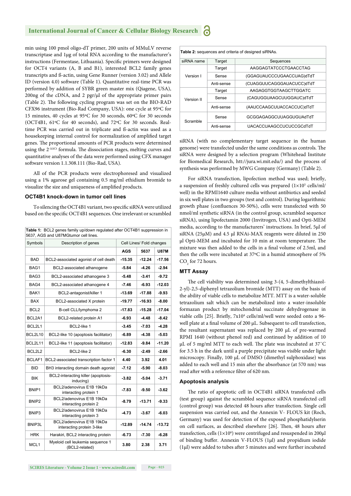#### **International Journal of Cancer & Cellular Biology Research** a

min using 100 pmol oligo-dT primer, 200 units of MMuLV reverse transcriptase and 1μg of total RNA according to the manufacturer's instructions (Fermentase, Lithuania). Specific primers were designed for OCT4 variants (A, B and B1), interested BCL2 family genes transcripts and ß-actin, using Gene Runner (version 3.02) and Allele ID (version 4.0) software (Table 1). Quantitative real-time PCR was performed by addition of SYBR green master mix (Qiagene, USA), 200ng of the cDNA, and 2 pgr/μl of the appropriate primer pairs (Table 2). The following cycling program was set on the BIO-RAD CFX96 instrument (Bio-Rad Company, USA): one cycle at 95ºC for 15 minutes, 40 cycles at 95ºC for 30 seconds, 60ºC for 30 seconds (OCT4B1, 61ºC for 40 seconds), and 72ºC for 30 seconds. Realtime PCR was carried out in triplicate and ß-actin was used as a housekeeping internal control for normalization of amplified target genes. The proportional amounts of PCR products were determined using the 2<sup>-ΔΔCt</sup> formula. The dissociation stages, melting curves and quantitative analyses of the data were performed using CFX manager software version 1.1.308.111 (Bio-Rad, USA).

All of the PCR products were electrophoresed and visualized using a 1% agarose gel containing 0.5 mg/ml ethidium bromide to visualize the size and uniqueness of amplified products.

## **OCT4B1 knock-down in tumor cell lines**

To silencing the OCT4B1 variant, two specific siRNA were utilized based on the specific OCT4B1 sequences. One irrelevant or scrambled

**Table 1:** BCL2 genes family up/down regulated after OCT4B1 suppression in 5637, AGS and U87MGtumor cell lines. Symbols Description of genes Cell Lines/ Fold changes **AGS 5637 U87M** BAD BCL2-associated agonist of cell death **-15.35** -12.24 -17.56 BAG1 BCL2-associated athanogene **-5.84** -4.26 -2.94 BAG3 BCL2-associated athanogene 3 **-5.48 -3.41 -9.72** BAG4 BCL2-associated athanogene 4 **-7.46 -6.93 -12.03** BAK1 BCL2-antagonist/killer 1 **-13.69 -17.88 -9.93** BAX BCL2-associated X protein **-19.77 -16.93 -8.00** BCL2 B-cell CLL/lymphoma 2 **-17.83 -15.28 -17.04** BCL2A1 BCL2-related protein A1 **-6.93** -4.48 -8.42 BCL2L1 BCL2-like 1 **-3.45 -7.03 -4.28** BCL2L10 BCL2-like 10 (apoptosis facilitator) **-6.89 -4.38 -5.03** BCL2L11 BCL2-like 11 (apoptosis facilitator) **-12.83 -9.84 -11.20** BCL2L2 BCL2-like 2 **-6.30 -2.49 -2.66** BCLAF1 BCL2-associated transcription factor 1 **4.40 3.92 4.01** BID BH3 interacting domain death agonist **-7.12** -5.90 -8.03 BIK BCL2-interacting killer (apoptosis- **-3.82** -5.04 -3.71 BNIP1 BCL2/adenovirus E1B 19kDa interacting protein 1 **-7.83 -9.50 -3.62** BNIP2 BCL2/adenovirus E1B 19kDa interacting protein 2 **-8.79 -13.71 -9.33** BNIP3 BCL2/adenovirus E1B 19kDa interacting protein 3 **-4.73 -3.67 -6.03** BNIP3L BCL2/adenovirus E1B 19kDa interacting protein 3-like **-12.89 -14.74 -13.72** HRK Harakiri, BCL2 interacting protein **-6.73 -7.30 -6.28** Myeloid cell leukemia sequence 1 (BCL2-related) **3.80 2.38 3.71**

| Table 2: sequences and criteria of designed siRNAs. |            |                                |
|-----------------------------------------------------|------------|--------------------------------|
| siRNA name                                          | Target     | Sequences                      |
| Version I                                           | Target     | AAGGAGTATCCCTGAACCTAG          |
|                                                     | Sense      | (GGAGUAUCCCUGAACCUAG)dTdT      |
|                                                     | Anti-sense | (CUAGGUUCAGGGAUACUCC)dTdT      |
| Version II                                          | Target     | AAGAGGTGGTAAGCTTGGATC          |
|                                                     | Sense      | (CAGUGGUAAGCUUGGAUC)dTdT       |
|                                                     | Anti-sense | (AAUCCAAGCUUACCACCUC)dTdT      |
| Scramble                                            | Sense      | GCGGAGAGGCUUAGGUGUAdTdT        |
|                                                     | Anti-sense | <b>UACACCUAAGCCUCUCCGCdTdT</b> |

siRNA (with no complementary target sequence in the human genome) were transfected under the same conditions as controls. The siRNA were designed by a selection program (Whitehead Institute for Biomedical Research, htt://jura.wi.mit.edu/) and the process of synthesis was performed by MWG Company (Germany) (Table 2).

For siRNA transfection, lipofection method was used; briefly, a suspension of freshly cultured cells was prepared  $(1 \times 10^5 \text{ cells/ml/}$ well) in the RPMI1640 culture media without antibiotics and seeded in six well plates in two groups (test and control). During logarithmic growth phase (confluences 30-50%), cells were transfected with 50 nmol/ml synthetic siRNA (in the control group, scrambled sequence siRNA), using lipofectamin 2000 (Invitrogen, USA) and Opti-MEM media, according to the manufacturers' instructions. In brief, 5μl of siRNA (25μM) and 4.5 μl RNAi-MAX reagents were diluted in 250 μl Opti-MEM and incubated for 10 min at room temperature. The mixture was then added to the cells in a final volume of 2.5ml, and then the cells were incubated at 37ºC in a humid atmosphere of 5%  $CO<sub>2</sub>$  for 72 hours.

## **MTT Assay**

The cell viability was determined using 3-(4, 5-dimethylthiazol-2-yl)-2,5-diphenyl tetrazolium bromide (MTT) assay on the basis of the ability of viable cells to metabolize MTT. MTT is a water-soluble tetrazolium salt which can be metabolized into a water-insoluble formazan product by mitochondrial succinate dehydrogenase in viable cells [25]. Briefly, 7x10<sup>4</sup> cells/ml/well were seeded onto a 96well plate at a final volume of 200 μL. Subsequent to cell transfection, the resultant supernatant was replaced by 200 μL of pre-warmed RPMI 1640 (without phenol red) and continued by addition of 10 μL of 5 mg/ml MTT to each well. The plate was incubated at  $37^{\circ}$ C for 3.5 h in the dark until a purple precipitate was visible under light microscopy. Finally, 100 μL of DMSO (dimethyl sulphoxidase) was added to each well and 15 min after the absorbance (at 570 nm) was read after with a reference filter of 620 nm.

## **Apoptosis analysis**

The ratio of apoptotic cell in OCT4B1 siRNA transfected cells (test group) against the scrambled sequence siRNA transfected cell (control group) was detected 48 hours after transfection. Single cell suspension was carried out, and the Annexin V- FLOUS kit (Roch, Germany) was used for detection of the exposed phosphatidylserin on cell surfaces, as described elsewhere [26]. Then, 48 hours after transfection, cells  $(1 \times 10^6)$  were centrifuged and resuspended in 200 $\mu$ l of binding buffer. Annexin V-FLOUS (1μl) and propidium iodide  $(1 \mu l)$  were added to tubes after 5 minutes and were further incubated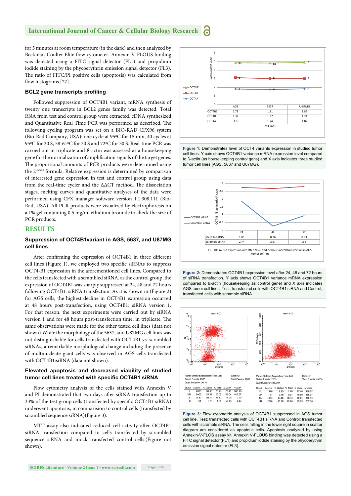#### **International Journal of Cancer & Cellular Biology Research** a

for 5 minutes at room temperature (in the dark) and then analyzed by Beckman-Coulter Elite flow cytometer. Annexin V-FLOUS binding was detected using a FITC signal detector (FL1) and propidium iodide staining by the phycoerythrin emission signal detector (FL3). The ratio of FITC/PI positive cells (apoptosis) was calculated from flow histograms [27].

### **BCL2** gene transcripts profiling

Followed suppression of OCT4B1 variant, mRNA synthesis of twenty one transcripts in BCL2 genes family was detected. Total RNA from test and control group were extracted, cDNA synthesized and Quantitative Real Time PCR was performed as described. The following cycling program was set on a BIO-RAD CFX96 system (Bio-Rad Company, USA): one cycle at 95ºC for 15 min, 40 cycles at 95ºC for 30 S, 58-61ºC for 30 S and 72ºC for 30 S. Real-time PCR was carried out in triplicate and ß-actin was assessed as a housekeeping gene for the normalization of amplification signals of the target genes. The proportional amounts of PCR products were determined using the 2-ΔΔCt formula. Relative expression is determined by comparison of interested gene expression in test and control group using data from the real-time cycler and the  $\Delta\Delta CT$  method. The dissociation stages, melting curves and quantitative analyses of the data were performed using CFX manager software version 1.1.308.111 (Bio-Rad, USA). All PCR products were visualized by electrophoresis on a 1% gel containing 0.5 mg/ml ethidium bromide to check the size of PCR products.

## **RESULTS**

## **Suppression of OCT4B1variant in AGS, 5637, and U87MG cell lines**

After confirming the expression of OCT4B1 in three different cell lines (Figure 1), we employed two specific siRNAs to suppress OCT4-B1 expression in the aforementioned cell lines. Compared to the cells transfected with a scrambled siRNA, as the control group, the expression of OCT4B1 was sharply suppressed at 24, 48 and 72 hours following OCT4B1: siRNA transfection. As it is shown in (Figure 2) for AGS cells, the highest decline in OCT4B1 expression occurred at 48 hours post-transfection, using OCT4B1: siRNA version 1. For that reason, the next experiments were carried out by siRNA version 1 and for 48 hours post-transfection time, in triplicate. The same observations were made for the other tested cell lines (data not shown).While the morphology of the 5637, and U87MG cell lines was not distinguishable for cells transfected with OCT4B1 vs. scrambled siRNAs, a remarkable morphological change including the presence of multinucleate giant cells was observed in AGS cells transfected with OCT4B1:siRNA (data not shown).

## **Elevated apoptosis and decreased viability of studied**  tumor cell lines treated with specific OCT4B1 siRNA

Flow cytometry analysis of the cells stained with Annexin V and PI demonstrated that two days after siRNA transfection up to 33% of the test group cells (transfected by specific OCT4B1 siRNA) underwent apoptosis, in comparision to control cells (transfected by scrambled sequence siRNA)(Figure 3).

MTT assay also indicated reduced cell activity after OCT4B1 siRNA transfection compared to cells transfected by scrambled sequence siRNA and mock transfected control cells.(Figure not shown).



**Figure 1:** Demonstrates level of OCT4 variants expression in studied tumor cell lines. Y axis shows OCT4B1 variance mRNA expression level compared to ß-actin (as housekeeping control gens) and X axis indicates three studied tumor cell lines (AGS, 5637 and U87MG).



**Figure 2:** Demonstrates OCT4B1 expression level after 24, 48 and 72 hours of siRNA transfection. Y axis shows OCT4B1 variance mRNA expression compared to ß-actin (housekeeping as control gene) and X axis indicates AGS tumor cell lines, Test; transfected cells with OCT4B1 siRNA and Control; transfected cells with scramble siRNA.



**Figure 3:** Flow cytometric analysis of OCT4B1 suppressed in AGS tumor cell line. Test; transfected cells with OCT4B1 siRNA and Control; transfected cells with scramble siRNA. The cells falling in the lower right square in scatter diagram are considered as apoptotic cells. Apoptosis analyzed by using Annexin-V-FLOS assay kit, Annexin V-FLOUS binding was detected using a FITC signal detector (FL1) and propidium iodide staining by the phycoerythrin emission signal detector (FL3).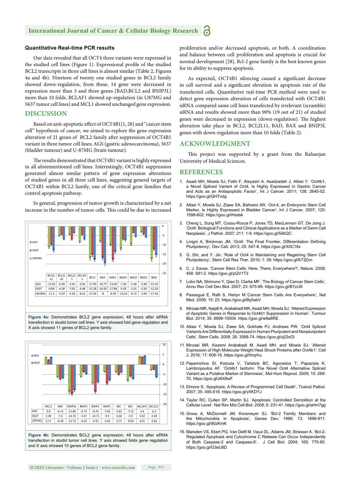#### **International Journal of Cancer & Cellular Biology Research** a

## **Quantitative Real-time PCR results**

Our data revealed that all OCT4 three variants were expressed in the studied cell lines (Figure 1). Expressional profile of the studied BCL2 transcripts in three cell lines is almost similar (Table 2, Figures 4a and 4b). Nineteen of twenty one studied genes in BCL2 family showed down-regulation, from these, 14 gene were decreased in expression more than 3 and three genes (BAD,BCL2 and BNIP3L) more than 10 folds. BCLAF1 showed up-regulation (in U87MG and 5637 tumor cell lines) and MCL1 showed unchanged gene expression.

## **DISCUSSION**

Based on anti-apoptotic effect of OCT4B1[1, 28] and "cancer stem cell" hypothesis of cancer, we aimed to explore the gene expression alteration of 21 genes of BCL2 family after suppression of OCT4B1 variant in three tumor cell lines; AGS (gastric adenocarcinoma), 5637 (bladder tumour) and U-87MG (brain tumour).

The results demonstrated that OCT4B1 variant is highly expressed in all aforementioned cell lines. Interestingly, OCT4B1 suppression generated almost similar pattern of gene expression alterations of studied genes in all three cell lines, suggesting general targets of OCT4B1 within BCL2 family, one of the critical gene families that control apoptosis pathway.

In general, progression of tumor growth is characterized by a net increase in the number of tumor cells. This could be due to increased



**Figure 4a:** Demonstrates BCL2 gene expression, 48 hours after siRNA transfection in studid tumor cell lines. Y axis showed fold gene regulation and X axis showed 11 genes of BCL2 gene family.



transfection in studid tumor cell lines. Y axis showed folds gene regulation and X axis showed 10 genes of BCL2 gene family

proliferation and/or decreased apoptosis, or both. A coordination and balance between cell proliferation and apoptosis is crucial for normal development [28]. Bcl-2 gene family is the best known genes for its ability to suppress apoptosis.

As expected, OCT4B1 silencing caused a significant decrease in cell survival and a significant elevation in apoptosis rate of the transfected cells. Quantitative real-time PCR method were used to detect gene expression alteration of cells transfected with OCT4B1 siRNA compared same cell lines transfected by irrelevant (scramble) siRNA and results showed more than 90% (19 out of 21) of studied genes were decreased in expression (down-regulation). The highest alteration take place in BCL2, BCL2L11, BAD, BAX and BNIP3L genes with down-regulation more than 10 folds (Table 2).

## **ACKNOWLEDGMENT**

This project was supported by a grant from the Rafsanjan University of Medical Sciences.

## **REFERENCES**

- 1. Asadi MH, Mowla SJ, Fathi F, Aleyasin A, Asadzadeh J, Atlasi Y. 'Oct4b1, a Novel Spliced Variant of Oct4, Is Highly Expressed in Gastric Cancer and Acts as an Antiapoptotic Factor', Int J Cancer. 2011; 128: 2645-52. https://goo.gl/QHTndg
- 2. Atlasi Y, Mowla SJ, Ziaee SA, Bahrami AR. 'Oct-4, an Embryonic Stem Cell Marker, Is Highly Expressed in Bladder Cancer', Int J Cancer. 2007; 120: 1598-602. https://goo.gl/iHsdsk
- 3. Cheng L, Sung MT, Cossu-Rocca P, Jones TD, MacLennan GT, De Jong J. 'Oct4: Biological Functions and Clinical Applications as a Marker of Germ Cell Neoplasia', J Pathol. 2007; 211: 1-9. https://goo.gl/5iiKQC
- 4. Livigni A, Brickman JM. 'Oct4: The Final Frontier, Differentiation Defining Pluripotency', Dev Cell. 2013; 25: 547-8. https://goo.gl/X0C18x
- 5. G. Shi, and Y. Jin. 'Role of Oct4 in Maintaining and Regaining Stem Cell Pluripotency', Stem Cell Res Ther. 2010; 1: 39. https://goo.gl/K73Zcn
- 6. C. J. Eaves, 'Cancer Stem Cells: Here, There, Everywhere?', Nature. 2008; 456: 581-2. https://goo.gl/pQV1T3
- 7. Lobo NA, Shimono Y, Qian D, Clarke MF. 'The Biology of Cancer Stem Cells', Annu Rev Cell Dev Biol. 2007; 23: 675-99. https://goo.gl/B7zcSl
- 8. Passegué E, Rafii S, Herlyn M.'Cancer Stem Cells Are Everywhere', Nat Med. 2009; 15: 23. https://goo.gl/By0abV
- 9. Mirzaei MR, Najafi A, Arababadi MK, Asadi MH, Mowla SJ. 'Altered Expression of Apoptotic Genes in Response to Oct4b1 Suppression in Human'. Tumour Biol. 2014; 35: 9999-10009. https://goo.gl/w9a8RE
- 10. Atlasi Y, Mowla SJ, Ziaee SA, Gokhale PJ, Andrews PW. 'Oct4 Spliced Variants Are Differentially Expressed in Human Pluripotent and Nonpluripotent Cells', Stem Cells. 2008; 26: 3068-74. https://goo.gl/q22sGl
- 11. Mirzaei MR, Kazemi Arababadi M, Asadi MH, and Mowla SJ. 'Altered Expression of High Molecular Weight Heat Shock Proteins after Oct4b1'. Cell J. 2016; 17: 608-16. https://goo.gl/hhqrhu
- 12. Papamichos SI, Kotoula V, Tarlatzis BC, Agorastos T, Papazisis K, Lambropoulos AF. 'Oct4b1 Isoform: The Novel Oct4 Alternative Spliced Variant as a Putative Marker of Stemness', Mol Hum Reprod. 2009; 15: 269- 70. https://goo.gl/z6X8wF
- 13. Elmore S. 'Apoptosis: A Review of Programmed Cell Death', Toxicol Pathol. 2007; 35: 495-516. https://goo.gl/y5KDYJ
- 14. Taylor RC, Cullen SP, Martin SJ. 'Apoptosis: Controlled Demolition at the Cellular Level'. Nat Rev Mol Cell Biol. 2008; 9: 231-41. https://goo.gl/aHm7gg
- 15. Gross A, McDonnell JM, Korsmeyer SJ. 'Bcl-2 Family Members and the Mitochondria in Apoptosis', Genes Dev. 1999; 13: 1899-911. https://goo.gl/90zKmK
- 16. Marsden VS, Ekert PG, Van Delft M, Vaux DL, Adams JM, Strasser A. 'Bcl-2- Regulated Apoptosis and Cytochrome C Release Can Occur Independently of Both Caspase-2 and Caspase-9'. J Cell Biol. 2004; 165: 775-80. https://goo.gl/G3eU8D